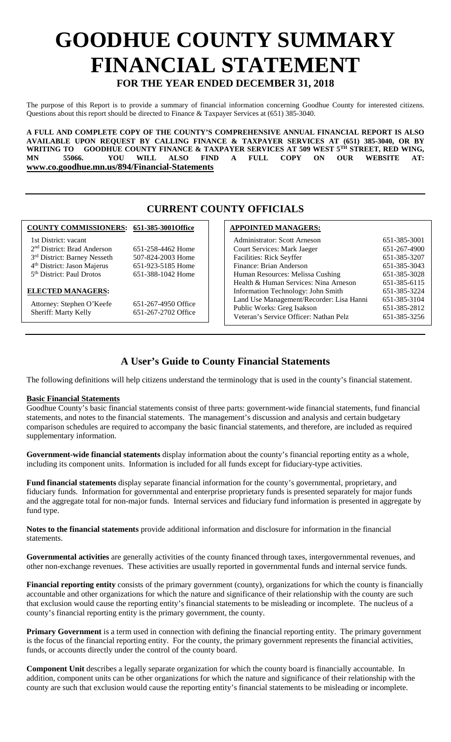# **GOODHUE COUNTY SUMMARY FINANCIAL STATEMENT FOR THE YEAR ENDED DECEMBER 31, 2018**

The purpose of this Report is to provide a summary of financial information concerning Goodhue County for interested citizens. Questions about this report should be directed to Finance & Taxpayer Services at (651) 385-3040.

**A FULL AND COMPLETE COPY OF THE COUNTY'S COMPREHENSIVE ANNUAL FINANCIAL REPORT IS ALSO AVAILABLE UPON REQUEST BY CALLING FINANCE & TAXPAYER SERVICES AT (651) 385-3040, OR BY**  WRITING TO GOODHUE COUNTY FINANCE & TAXPAYER SERVICES AT 509 WEST 5<sup>TH</sup> STREET, RED WING, **MN 55066. YOU WILL ALSO FIND A FULL COPY ON OUR WEBSITE AT: www.co.goodhue.mn.us/894/Financial-Statements**

## **CURRENT COUNTY OFFICIALS**

#### **COUNTY COMMISSIONERS: 651-385-3001Office**

 1st District: vacant 2nd District: Brad Anderson 651-258-4462 Home 3rd District: Barney Nesseth 507-824-2003 Home 4th District: Jason Majerus 651-923-5185 Home

5<sup>th</sup> District: Paul Drotos 651-388-1042 Home

#### **ELECTED MANAGERS:**

Attorney: Stephen O'Keefe 651-267-4950 Office<br>Sheriff: Marty Kelly 651-267-2702 Office Sheriff: Marty Kelly

### **APPOINTED MANAGERS:**

| Administrator: Scott Arneson             | 651-385-3001 |
|------------------------------------------|--------------|
| Court Services: Mark Jaeger              | 651-267-4900 |
| Facilities: Rick Seyffer                 | 651-385-3207 |
| Finance: Brian Anderson                  | 651-385-3043 |
| Human Resources: Melissa Cushing         | 651-385-3028 |
| Health & Human Services: Nina Arneson    | 651-385-6115 |
| Information Technology: John Smith       | 651-385-3224 |
| Land Use Management/Recorder: Lisa Hanni | 651-385-3104 |
| Public Works: Greg Isakson               | 651-385-2812 |
| Veteran's Service Officer: Nathan Pelz   | 651-385-3256 |

# **A User's Guide to County Financial Statements**

The following definitions will help citizens understand the terminology that is used in the county's financial statement.

### **Basic Financial Statements**

Goodhue County's basic financial statements consist of three parts: government-wide financial statements, fund financial statements, and notes to the financial statements. The management's discussion and analysis and certain budgetary comparison schedules are required to accompany the basic financial statements, and therefore, are included as required supplementary information.

**Government-wide financial statements** display information about the county's financial reporting entity as a whole, including its component units. Information is included for all funds except for fiduciary-type activities.

**Fund financial statements** display separate financial information for the county's governmental, proprietary, and fiduciary funds. Information for governmental and enterprise proprietary funds is presented separately for major funds and the aggregate total for non-major funds. Internal services and fiduciary fund information is presented in aggregate by fund type.

**Notes to the financial statements** provide additional information and disclosure for information in the financial statements.

**Governmental activities** are generally activities of the county financed through taxes, intergovernmental revenues, and other non-exchange revenues. These activities are usually reported in governmental funds and internal service funds.

**Financial reporting entity** consists of the primary government (county), organizations for which the county is financially accountable and other organizations for which the nature and significance of their relationship with the county are such that exclusion would cause the reporting entity's financial statements to be misleading or incomplete. The nucleus of a county's financial reporting entity is the primary government, the county.

**Primary Government** is a term used in connection with defining the financial reporting entity. The primary government is the focus of the financial reporting entity. For the county, the primary government represents the financial activities, funds, or accounts directly under the control of the county board.

**Component Unit** describes a legally separate organization for which the county board is financially accountable. In addition, component units can be other organizations for which the nature and significance of their relationship with the county are such that exclusion would cause the reporting entity's financial statements to be misleading or incomplete.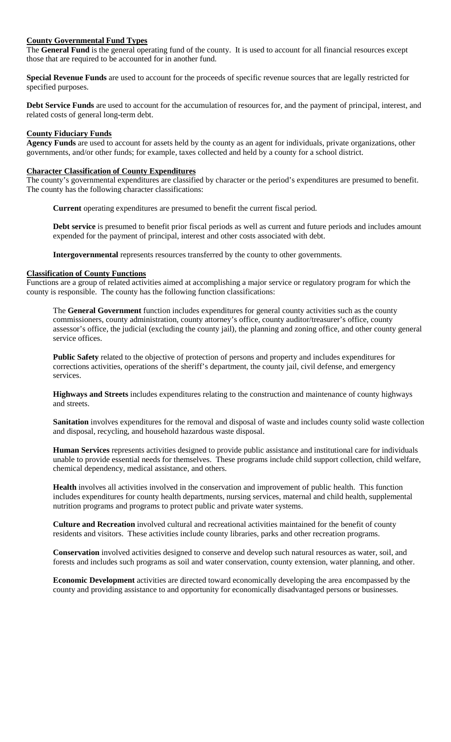#### **County Governmental Fund Types**

The **General Fund** is the general operating fund of the county. It is used to account for all financial resources except those that are required to be accounted for in another fund.

**Special Revenue Funds** are used to account for the proceeds of specific revenue sources that are legally restricted for specified purposes.

**Debt Service Funds** are used to account for the accumulation of resources for, and the payment of principal, interest, and related costs of general long-term debt.

#### **County Fiduciary Funds**

**Agency Funds** are used to account for assets held by the county as an agent for individuals, private organizations, other governments, and/or other funds; for example, taxes collected and held by a county for a school district.

#### **Character Classification of County Expenditures**

The county's governmental expenditures are classified by character or the period's expenditures are presumed to benefit. The county has the following character classifications:

**Current** operating expenditures are presumed to benefit the current fiscal period.

**Debt service** is presumed to benefit prior fiscal periods as well as current and future periods and includes amount expended for the payment of principal, interest and other costs associated with debt.

**Intergovernmental** represents resources transferred by the county to other governments.

#### **Classification of County Functions**

Functions are a group of related activities aimed at accomplishing a major service or regulatory program for which the county is responsible. The county has the following function classifications:

The **General Government** function includes expenditures for general county activities such as the county commissioners, county administration, county attorney's office, county auditor/treasurer's office, county assessor's office, the judicial (excluding the county jail), the planning and zoning office, and other county general service offices.

**Public Safety** related to the objective of protection of persons and property and includes expenditures for corrections activities, operations of the sheriff's department, the county jail, civil defense, and emergency services.

**Highways and Streets** includes expenditures relating to the construction and maintenance of county highways and streets.

**Sanitation** involves expenditures for the removal and disposal of waste and includes county solid waste collection and disposal, recycling, and household hazardous waste disposal.

**Human Services** represents activities designed to provide public assistance and institutional care for individuals unable to provide essential needs for themselves. These programs include child support collection, child welfare, chemical dependency, medical assistance, and others.

**Health** involves all activities involved in the conservation and improvement of public health. This function includes expenditures for county health departments, nursing services, maternal and child health, supplemental nutrition programs and programs to protect public and private water systems.

**Culture and Recreation** involved cultural and recreational activities maintained for the benefit of county residents and visitors. These activities include county libraries, parks and other recreation programs.

**Conservation** involved activities designed to conserve and develop such natural resources as water, soil, and forests and includes such programs as soil and water conservation, county extension, water planning, and other.

**Economic Development** activities are directed toward economically developing the area encompassed by the county and providing assistance to and opportunity for economically disadvantaged persons or businesses.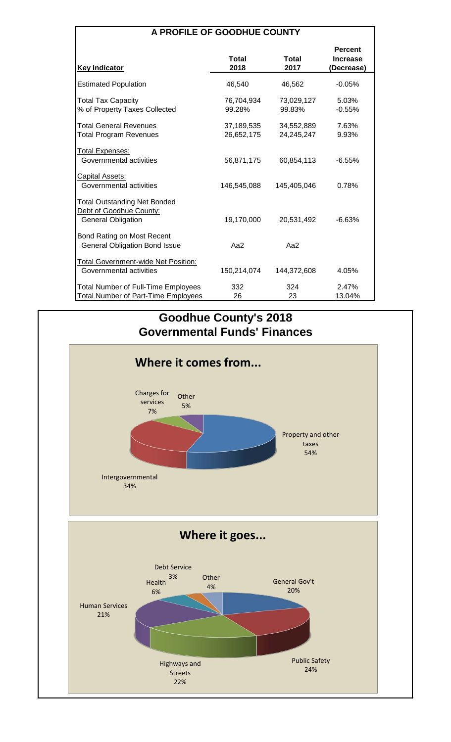| <b>A PROFILE OF GOODHUE COUNTY</b> |  |
|------------------------------------|--|
|------------------------------------|--|

| <b>Key Indicator</b>                                                                        | Total<br>2018            | Total<br>2017            | <b>Percent</b><br><b>Increase</b><br>(Decrease) |
|---------------------------------------------------------------------------------------------|--------------------------|--------------------------|-------------------------------------------------|
| <b>Estimated Population</b>                                                                 | 46,540                   | 46,562                   | $-0.05%$                                        |
| <b>Total Tax Capacity</b><br>% of Property Taxes Collected                                  | 76,704,934<br>99.28%     | 73,029,127<br>99.83%     | 5.03%<br>$-0.55%$                               |
| <b>Total General Revenues</b><br><b>Total Program Revenues</b>                              | 37,189,535<br>26,652,175 | 34,552,889<br>24,245,247 | 7.63%<br>9.93%                                  |
| <b>Total Expenses:</b><br>Governmental activities                                           | 56,871,175               | 60,854,113               | $-6.55%$                                        |
| <b>Capital Assets:</b><br>Governmental activities                                           | 146,545,088              | 145,405,046              | 0.78%                                           |
| <b>Total Outstanding Net Bonded</b><br>Debt of Goodhue County:<br><b>General Obligation</b> | 19,170,000               | 20,531,492               | $-6.63%$                                        |
| Bond Rating on Most Recent<br><b>General Obligation Bond Issue</b>                          | Aa $2$                   | Aa2                      |                                                 |
| <b>Total Government-wide Net Position:</b><br>Governmental activities                       | 150,214,074              | 144,372,608              | 4.05%                                           |
| <b>Total Number of Full-Time Employees</b><br><b>Total Number of Part-Time Employees</b>    | 332<br>26                | 324<br>23                | 2.47%<br>13.04%                                 |

# **Goodhue County's 2018 Governmental Funds' Finances**

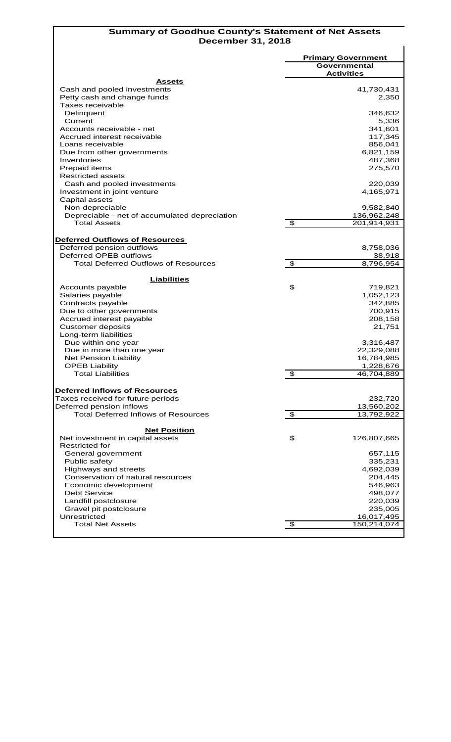### **Summary of Goodhue County's Statement of Net Assets December 31, 2018**

|                                                     |                                  | <b>Primary Government</b> |
|-----------------------------------------------------|----------------------------------|---------------------------|
|                                                     |                                  | Governmental              |
|                                                     |                                  | <b>Activities</b>         |
| Assets                                              |                                  |                           |
| Cash and pooled investments                         |                                  | 41,730,431                |
| Petty cash and change funds                         |                                  | 2,350                     |
| Taxes receivable                                    |                                  |                           |
| Delinquent                                          |                                  | 346,632                   |
| Current                                             |                                  | 5,336                     |
| Accounts receivable - net                           |                                  | 341,601                   |
| Accrued interest receivable                         |                                  | 117,345                   |
| Loans receivable                                    |                                  | 856,041                   |
| Due from other governments                          |                                  | 6,821,159                 |
| Inventories                                         |                                  | 487,368                   |
| Prepaid items                                       |                                  | 275,570                   |
| Restricted assets                                   |                                  |                           |
| Cash and pooled investments                         |                                  | 220,039                   |
| Investment in joint venture                         |                                  | 4,165,971                 |
| Capital assets                                      |                                  |                           |
| Non-depreciable                                     |                                  | 9,582,840                 |
| Depreciable - net of accumulated depreciation       |                                  | 136,962,248               |
| <b>Total Assets</b>                                 | \$                               | 201,914,931               |
|                                                     |                                  |                           |
|                                                     |                                  |                           |
| Deferred Outflows of Resources                      |                                  |                           |
| Deferred pension outflows<br>Deferred OPEB outflows |                                  | 8,758,036                 |
|                                                     |                                  | 38,918                    |
| <b>Total Deferred Outflows of Resources</b>         | $\overline{\boldsymbol{\theta}}$ | 8,796,954                 |
| <b>Liabilities</b>                                  |                                  |                           |
| Accounts payable                                    | \$                               | 719,821                   |
| Salaries payable                                    |                                  | 1,052,123                 |
| Contracts payable                                   |                                  | 342,885                   |
|                                                     |                                  |                           |
| Due to other governments                            |                                  | 700,915                   |
| Accrued interest payable                            |                                  | 208,158                   |
| <b>Customer deposits</b>                            |                                  | 21,751                    |
| Long-term liabilities                               |                                  |                           |
| Due within one year                                 |                                  | 3,316,487                 |
| Due in more than one year                           |                                  | 22,329,088                |
| <b>Net Pension Liability</b>                        |                                  | 16,784,985                |
| <b>OPEB Liability</b>                               |                                  | 1,228,676                 |
| <b>Total Liabilities</b>                            | $\overline{\mathcal{E}}$         | 46,704,889                |
|                                                     |                                  |                           |
| Deferred Inflows of Resources                       |                                  |                           |
| Taxes received for future periods                   |                                  | 232,720                   |
| Deferred pension inflows                            |                                  | 13,560,202                |
| <b>Total Deferred Inflows of Resources</b>          | $\overline{\boldsymbol{\theta}}$ | 13,792,922                |
|                                                     |                                  |                           |
| <b>Net Position</b>                                 |                                  |                           |
| Net investment in capital assets                    | \$                               | 126,807,665               |
| <b>Restricted for</b>                               |                                  |                           |
| General government                                  |                                  | 657,115                   |
| Public safety                                       |                                  | 335,231                   |
| Highways and streets                                |                                  | 4,692,039                 |
| Conservation of natural resources                   |                                  | 204,445                   |
| Economic development                                |                                  | 546,963                   |
| <b>Debt Service</b>                                 |                                  | 498,077                   |
| Landfill postclosure                                |                                  | 220,039                   |
| Gravel pit postclosure                              |                                  | 235,005                   |
| Unrestricted                                        |                                  | 16,017,495                |
| <b>Total Net Assets</b>                             | \$                               | 150,214,074               |
|                                                     |                                  |                           |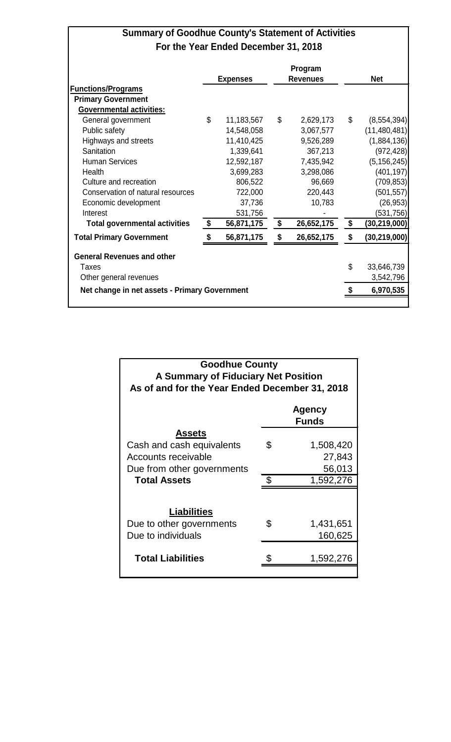# **Summary of Goodhue County's Statement of Activities For the Year Ended December 31, 2018**

|                                               |                  | Program          |                      |
|-----------------------------------------------|------------------|------------------|----------------------|
|                                               | <b>Expenses</b>  | <b>Revenues</b>  | <b>Net</b>           |
| <b>Functions/Programs</b>                     |                  |                  |                      |
| <b>Primary Government</b>                     |                  |                  |                      |
| <b>Governmental activities:</b>               |                  |                  |                      |
| General government                            | \$<br>11,183,567 | \$<br>2,629,173  | \$<br>(8, 554, 394)  |
| Public safety                                 | 14,548,058       | 3,067,577        | (11, 480, 481)       |
| Highways and streets                          | 11,410,425       | 9,526,289        | (1,884,136)          |
| Sanitation                                    | 1,339,641        | 367,213          | (972, 428)           |
| <b>Human Services</b>                         | 12,592,187       | 7,435,942        | (5, 156, 245)        |
| Health                                        | 3,699,283        | 3,298,086        | (401, 197)           |
| Culture and recreation                        | 806,522          | 96,669           | (709, 853)           |
| Conservation of natural resources             | 722,000          | 220,443          | (501, 557)           |
| Economic development                          | 37,736           | 10,783           | (26, 953)            |
| Interest                                      | 531,756          |                  | (531, 756)           |
| <b>Total governmental activities</b>          | \$<br>56,871,175 | \$<br>26,652,175 | \$<br>(30,219,000)   |
| <b>Total Primary Government</b>               | 56,871,175       | \$<br>26,652,175 | \$<br>(30, 219, 000) |
| <b>General Revenues and other</b>             |                  |                  |                      |
| Taxes                                         |                  |                  | \$<br>33,646,739     |
| Other general revenues                        |                  |                  | 3,542,796            |
| Net change in net assets - Primary Government | \$<br>6,970,535  |                  |                      |
|                                               |                  |                  |                      |

| <b>Goodhue County</b><br>A Summary of Fiduciary Net Position<br>As of and for the Year Ended December 31, 2018 |    |                               |  |  |  |  |  |  |  |
|----------------------------------------------------------------------------------------------------------------|----|-------------------------------|--|--|--|--|--|--|--|
| <b>Agency</b><br><b>Funds</b>                                                                                  |    |                               |  |  |  |  |  |  |  |
| <b>Assets</b><br>Cash and cash equivalents<br>Accounts receivable<br>Due from other governments                | \$ | 1,508,420<br>27,843<br>56,013 |  |  |  |  |  |  |  |
| <b>Total Assets</b>                                                                                            | \$ | 1,592,276                     |  |  |  |  |  |  |  |
| Liabilities<br>Due to other governments<br>Due to individuals                                                  | \$ | 1,431,651<br>160,625          |  |  |  |  |  |  |  |
| <b>Total Liabilities</b>                                                                                       |    | 1,592,276                     |  |  |  |  |  |  |  |
|                                                                                                                |    |                               |  |  |  |  |  |  |  |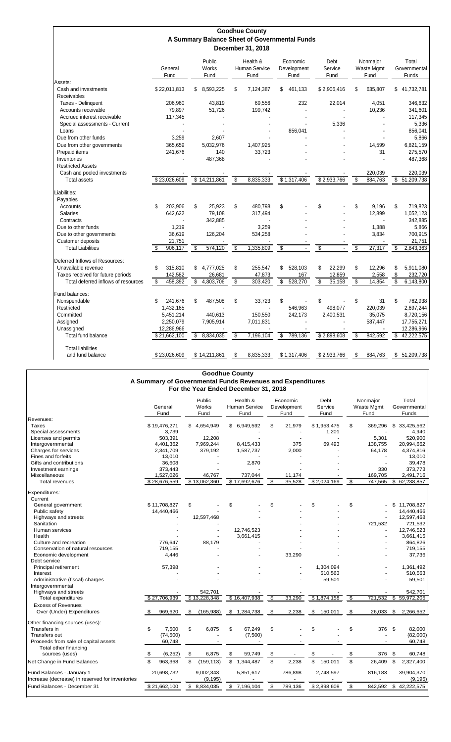|                                     |                 |                         | <b>Goodhue County</b><br>A Summary Balance Sheet of Governmental Funds |                                 |                         |                                |                                |
|-------------------------------------|-----------------|-------------------------|------------------------------------------------------------------------|---------------------------------|-------------------------|--------------------------------|--------------------------------|
|                                     | General<br>Fund | Public<br>Works<br>Fund | December 31, 2018<br>Health &<br>Human Service<br>Fund                 | Economic<br>Development<br>Fund | Debt<br>Service<br>Fund | Nonmajor<br>Waste Mgmt<br>Fund | Total<br>Governmental<br>Funds |
| Assets:<br>Cash and investments     | \$22,011,813    | 8,593,225<br>\$.        | \$<br>7,124,387                                                        | 461,133<br>\$                   | \$2,906,416             | \$<br>635,807                  | 41,732,781<br>\$.              |
| Receivables                         |                 |                         |                                                                        |                                 |                         |                                |                                |
| Taxes - Delinquent                  | 206,960         | 43.819                  | 69,556                                                                 | 232                             | 22,014                  | 4,051                          | 346.632                        |
| Accounts receivable                 | 79,897          | 51,726                  | 199,742                                                                |                                 |                         | 10,236                         | 341,601                        |
| Accrued interest receivable         | 117,345         |                         |                                                                        |                                 |                         |                                | 117,345                        |
| Special assessments - Current       |                 |                         |                                                                        |                                 | 5,336                   |                                | 5,336                          |
| Loans                               |                 |                         |                                                                        | 856,041                         |                         |                                | 856,041                        |
| Due from other funds                | 3,259           | 2,607                   |                                                                        |                                 |                         |                                | 5,866                          |
| Due from other governments          | 365,659         | 5,032,976               | 1,407,925                                                              |                                 |                         | 14.599                         | 6,821,159                      |
| Prepaid items                       | 241,676         | 140                     | 33,723                                                                 |                                 |                         | 31                             | 275,570                        |
| Inventories                         |                 | 487,368                 |                                                                        |                                 |                         |                                | 487,368                        |
| <b>Restricted Assets</b>            |                 |                         |                                                                        |                                 |                         |                                |                                |
| Cash and pooled investments         |                 |                         |                                                                        |                                 |                         | 220,039                        | 220,039                        |
| <b>Total assets</b>                 | \$23,026,609    | \$14,211,861            | 8,835,333<br>\$                                                        | \$1,317,406                     | \$2,933,766             | \$<br>884,763                  | 51,209,738<br>\$               |
| Liabilities:                        |                 |                         |                                                                        |                                 |                         |                                |                                |
| Payables                            |                 |                         |                                                                        |                                 |                         |                                |                                |
| Accounts                            | 203,906<br>\$   | \$<br>25,923            | \$<br>480,798                                                          | \$                              | \$                      | \$<br>9,196                    | \$<br>719,823                  |
| <b>Salaries</b>                     | 642,622         | 79,108                  | 317,494                                                                |                                 |                         | 12,899                         | 1,052,123                      |
| Contracts                           |                 | 342,885                 |                                                                        |                                 |                         |                                | 342,885                        |
| Due to other funds                  | 1,219           |                         | 3,259                                                                  |                                 |                         | 1,388                          | 5,866                          |
| Due to other governments            | 36,619          | 126,204                 | 534,258                                                                |                                 |                         | 3,834                          | 700,915                        |
| Customer deposits                   | 21,751          |                         |                                                                        |                                 |                         |                                | 21,751                         |
| <b>Total Liabilities</b>            | \$<br>906,117   | \$<br>574,120           | \$<br>1,335,809                                                        | \$                              | $\overline{\$}$         | \$<br>27,317                   | \$<br>2,843,363                |
|                                     |                 |                         |                                                                        |                                 |                         |                                |                                |
| Deferred Inflows of Resources:      |                 |                         |                                                                        |                                 |                         |                                |                                |
| Unavailable revenue                 | 315.810<br>\$   | 4,777,025<br>\$         | \$<br>255,547                                                          | \$<br>528,103                   | \$<br>22,299            | \$<br>12,296                   | \$<br>5,911,080                |
| Taxes received for future periods   | 142,582         | 26,681                  | 47,873                                                                 | 167                             | 12,859                  | 2,558                          | \$<br>232,720                  |
| Total deferred inflows of resources | 458,392<br>\$   | 4,803,706<br>\$         | \$<br>303,420                                                          | \$<br>528,270                   | \$<br>35,158            | \$<br>14,854                   | \$<br>6,143,800                |
| Fund balances:                      |                 |                         |                                                                        |                                 |                         |                                |                                |
| Nonspendable                        | \$<br>241,676   | \$<br>487,508           | \$<br>33,723                                                           | S                               | \$                      | \$<br>31                       | \$<br>762,938                  |
| Restricted                          | 1,432,165       |                         |                                                                        | 546,963                         | 498,077                 | 220,039                        | 2,697,244                      |
| Committed                           | 5,451,214       | 440.613                 | 150,550                                                                | 242,173                         | 2,400,531               | 35,075                         | 8,720,156                      |
| Assigned                            | 2,250,079       | 7,905,914               | 7,011,831                                                              |                                 |                         | 587,447                        | 17,755,271                     |
| Unassigned                          | 12,286,966      |                         |                                                                        |                                 |                         |                                | 12,286,966                     |
| Total fund balance                  | \$21,662,100    | \$<br>8,834,035         | \$<br>7,196,104                                                        | \$<br>789,136                   | \$2,898,608             | \$<br>842,592                  | 42,222,575<br>\$               |
|                                     |                 |                         |                                                                        |                                 |                         |                                |                                |
| <b>Total liabilities</b>            |                 |                         |                                                                        |                                 |                         |                                |                                |
| and fund balance                    | \$23.026.609    | \$14,211,861            | \$<br>8,835,333                                                        | \$1,317,406                     | \$2,933,766             | \$<br>884,763                  | \$ 51,209,738                  |

|                                                                              |                                            |              | <b>Goodhue County</b>                                                       |    | A Summary of Governmental Funds Revenues and Expenditures<br>For the Year Ended December 31, 2018 |              |                                       |    |             |                                |         |      |                        |
|------------------------------------------------------------------------------|--------------------------------------------|--------------|-----------------------------------------------------------------------------|----|---------------------------------------------------------------------------------------------------|--------------|---------------------------------------|----|-------------|--------------------------------|---------|------|------------------------|
|                                                                              | Public<br>General<br>Works<br>Fund<br>Fund |              | Health &<br>Economic<br><b>Human Service</b><br>Development<br>Fund<br>Fund |    | Debt<br>Service<br>Fund                                                                           |              | Nonmajor<br><b>Waste Mgmt</b><br>Fund |    |             | Total<br>Governmental<br>Funds |         |      |                        |
| Revenues:<br>Taxes                                                           |                                            | \$19,476,271 | \$4,654,949                                                                 | \$ | 6,949,592                                                                                         | \$           | 21,979                                |    | \$1,953,475 | \$                             | 369,296 |      | \$ 33,425,562          |
| Special assessments                                                          |                                            | 3,739        |                                                                             |    |                                                                                                   |              |                                       |    | 1,201       |                                |         |      | 4,940                  |
| Licenses and permits                                                         |                                            | 503.391      | 12,208                                                                      |    |                                                                                                   |              |                                       |    |             |                                | 5,301   |      | 520,900                |
| Intergovernmental                                                            |                                            | 4,401,362    | 7,969,244                                                                   |    | 8,415,433                                                                                         |              | 375                                   |    | 69,493      |                                | 138,755 |      | 20,994,662             |
| Charges for services                                                         |                                            | 2,341,709    | 379,192                                                                     |    | 1,587,737                                                                                         |              | 2,000                                 |    |             |                                | 64,178  |      | 4,374,816              |
| Fines and forfeits                                                           |                                            | 13,010       |                                                                             |    |                                                                                                   |              |                                       |    |             |                                |         |      | 13,010                 |
|                                                                              |                                            |              |                                                                             |    |                                                                                                   |              |                                       |    |             |                                |         |      |                        |
| Gifts and contributions                                                      |                                            | 36,608       |                                                                             |    | 2,870                                                                                             |              |                                       |    |             |                                | 330     |      | 39,478                 |
| Investment earnings                                                          |                                            | 373,443      |                                                                             |    |                                                                                                   |              |                                       |    |             |                                |         |      | 373,773                |
| Miscellaneous                                                                |                                            | 1,527,026    | 46,767<br>\$13,062,360                                                      |    | 737,044<br>\$17,692,676                                                                           | \$           | 11,174<br>35,528                      |    |             |                                | 169,705 |      | 2,491,716              |
| <b>Total revenues</b>                                                        |                                            | \$28,676,559 |                                                                             |    |                                                                                                   |              |                                       |    | \$2,024,169 | \$                             | 747,565 | \$   | 62,238,857             |
| Expenditures:                                                                |                                            |              |                                                                             |    |                                                                                                   |              |                                       |    |             |                                |         |      |                        |
| Current                                                                      |                                            |              |                                                                             |    |                                                                                                   |              |                                       |    |             |                                |         |      |                        |
| General government                                                           |                                            | \$11,708,827 | \$                                                                          | \$ |                                                                                                   | \$           |                                       | \$ |             | \$                             |         |      | \$11,708,827           |
| Public safety                                                                |                                            | 14,440,466   |                                                                             |    |                                                                                                   |              |                                       |    |             |                                |         |      | 14,440,466             |
| Highways and streets                                                         |                                            |              | 12,597,468                                                                  |    |                                                                                                   |              |                                       |    |             |                                |         |      | 12,597,468             |
| Sanitation                                                                   |                                            |              |                                                                             |    |                                                                                                   |              |                                       |    |             |                                | 721,532 |      | 721,532                |
| Human services                                                               |                                            |              |                                                                             |    | 12,746,523                                                                                        |              |                                       |    |             |                                |         |      | 12,746,523             |
| Health                                                                       |                                            |              |                                                                             |    | 3,661,415                                                                                         |              |                                       |    |             |                                |         |      | 3,661,415              |
| Culture and recreation                                                       |                                            | 776,647      | 88,179                                                                      |    |                                                                                                   |              |                                       |    |             |                                |         |      | 864,826                |
| Conservation of natural resources                                            |                                            | 719,155      |                                                                             |    |                                                                                                   |              |                                       |    |             |                                |         |      | 719,155                |
| Economic development                                                         |                                            | 4,446        |                                                                             |    |                                                                                                   |              | 33,290                                |    |             |                                |         |      | 37,736                 |
| Debt service                                                                 |                                            |              |                                                                             |    |                                                                                                   |              |                                       |    |             |                                |         |      |                        |
| Principal retirement                                                         |                                            | 57,398       |                                                                             |    |                                                                                                   |              |                                       |    | 1,304,094   |                                |         |      | 1,361,492              |
| Interest                                                                     |                                            |              |                                                                             |    |                                                                                                   |              |                                       |    | 510,563     |                                |         |      | 510,563                |
| Administrative (fiscal) charges                                              |                                            |              |                                                                             |    |                                                                                                   |              |                                       |    | 59,501      |                                |         |      | 59,501                 |
| Intergovernmental                                                            |                                            |              |                                                                             |    |                                                                                                   |              |                                       |    |             |                                |         |      |                        |
| Highways and streets                                                         |                                            |              | 542.701                                                                     |    |                                                                                                   |              |                                       |    |             |                                |         |      | 542,701                |
| <b>Total expenditures</b>                                                    |                                            | \$27,706,939 | \$13,228,348                                                                |    | \$16,407,938                                                                                      | \$           | 33,290                                |    | \$1,874,158 | \$                             | 721,532 | \$   | 59,972,205             |
| <b>Excess of Revenues</b>                                                    |                                            |              |                                                                             |    |                                                                                                   |              |                                       |    |             |                                |         |      |                        |
| Over (Under) Expenditures                                                    | \$                                         | 969.620      | \$<br>(165, 988)                                                            | \$ | 1,284,738                                                                                         | \$           | 2,238                                 | \$ | 150,011     | \$                             | 26,033  | \$   | 2,266,652              |
| Other financing sources (uses):                                              |                                            |              |                                                                             |    |                                                                                                   |              |                                       |    |             |                                |         |      |                        |
| Transfers in                                                                 | \$                                         | 7,500        | \$<br>6,875                                                                 | \$ | 67,249                                                                                            | \$           |                                       | \$ |             | \$                             | 376     | \$   | 82,000                 |
| Transfers out                                                                |                                            | (74, 500)    |                                                                             |    | (7,500)                                                                                           |              |                                       |    |             |                                |         |      | (82,000)               |
| Proceeds from sale of capital assets                                         |                                            | 60,748       |                                                                             |    |                                                                                                   |              |                                       |    |             |                                |         |      | 60,748                 |
| Total other financing                                                        |                                            |              |                                                                             |    |                                                                                                   |              |                                       |    |             |                                |         |      |                        |
| sources (uses)                                                               | -\$                                        | (6, 252)     | \$<br>6,875                                                                 | \$ | 59,749                                                                                            | \$           |                                       | \$ |             | \$                             | 376     | - \$ | 60,748                 |
| Net Change in Fund Balances                                                  | \$                                         | 963,368      | \$<br>(159, 113)                                                            |    | \$1,344,487                                                                                       | $\mathbb{S}$ | 2,238                                 | \$ | 150,011     | \$                             | 26,409  | \$   | 2,327,400              |
| Fund Balances - January 1<br>Increase (decrease) in reserved for inventories |                                            | 20,698,732   | 9,002,343<br>(9, 195)                                                       |    | 5,851,617                                                                                         |              | 786,898                               |    | 2,748,597   |                                | 816,183 |      | 39,904,370<br>(9, 195) |
| Fund Balances - December 31                                                  |                                            | \$21,662,100 | \$<br>8,834,035                                                             |    | \$7,196,104                                                                                       | \$           | 789,136                               |    | \$2,898,608 | \$                             | 842,592 |      | \$42,222,575           |
|                                                                              |                                            |              |                                                                             |    |                                                                                                   |              |                                       |    |             |                                |         |      |                        |